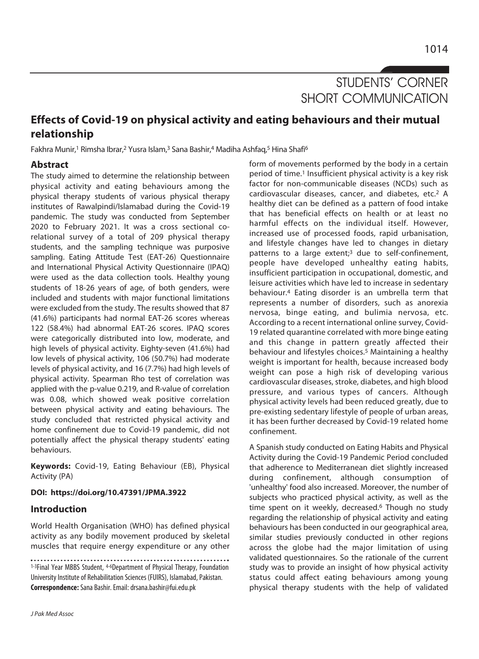# STUDENTS' CORNER SHORT COMMUNICATION

# **Effects of Covid-19 on physical activity and eating behaviours and their mutual relationship**

Fakhra Munir,<sup>1</sup> Rimsha Ibrar,<sup>2</sup> Yusra Islam,<sup>3</sup> Sana Bashir,<sup>4</sup> Madiha Ashfaq,<sup>5</sup> Hina Shafi<sup>6</sup>

# **Abstract**

The study aimed to determine the relationship between physical activity and eating behaviours among the physical therapy students of various physical therapy institutes of Rawalpindi/Islamabad during the Covid-19 pandemic. The study was conducted from September 2020 to February 2021. It was a cross sectional corelational survey of a total of 209 physical therapy students, and the sampling technique was purposive sampling. Eating Attitude Test (EAT-26) Questionnaire and International Physical Activity Questionnaire (IPAQ) were used as the data collection tools. Healthy young students of 18-26 years of age, of both genders, were included and students with major functional limitations were excluded from the study. The results showed that 87 (41.6%) participants had normal EAT-26 scores whereas 122 (58.4%) had abnormal EAT-26 scores. IPAQ scores were categorically distributed into low, moderate, and high levels of physical activity. Eighty-seven (41.6%) had low levels of physical activity, 106 (50.7%) had moderate levels of physical activity, and 16 (7.7%) had high levels of physical activity. Spearman Rho test of correlation was applied with the p-value 0.219, and R-value of correlation was 0.08, which showed weak positive correlation between physical activity and eating behaviours. The study concluded that restricted physical activity and home confinement due to Covid-19 pandemic, did not potentially affect the physical therapy students' eating behaviours.

**Keywords:** Covid-19, Eating Behaviour (EB), Physical Activity (PA)

#### **DOI: https://doi.org/10.47391/JPMA.3922**

## **Introduction**

World Health Organisation (WHO) has defined physical activity as any bodily movement produced by skeletal muscles that require energy expenditure or any other

J Pak Med Assoc

form of movements performed by the body in a certain period of time.1 Insufficient physical activity is a key risk factor for non-communicable diseases (NCDs) such as cardiovascular diseases, cancer, and diabetes, etc.2 A healthy diet can be defined as a pattern of food intake that has beneficial effects on health or at least no harmful effects on the individual itself. However, increased use of processed foods, rapid urbanisation, and lifestyle changes have led to changes in dietary patterns to a large extent;<sup>3</sup> due to self-confinement, people have developed unhealthy eating habits, insufficient participation in occupational, domestic, and leisure activities which have led to increase in sedentary behaviour.4 Eating disorder is an umbrella term that represents a number of disorders, such as anorexia nervosa, binge eating, and bulimia nervosa, etc. According to a recent international online survey, Covid-19 related quarantine correlated with more binge eating and this change in pattern greatly affected their behaviour and lifestyles choices.5 Maintaining a healthy weight is important for health, because increased body weight can pose a high risk of developing various cardiovascular diseases, stroke, diabetes, and high blood pressure, and various types of cancers. Although physical activity levels had been reduced greatly, due to pre-existing sedentary lifestyle of people of urban areas, it has been further decreased by Covid-19 related home confinement.

A Spanish study conducted on Eating Habits and Physical Activity during the Covid-19 Pandemic Period concluded that adherence to Mediterranean diet slightly increased during confinement, although consumption of 'unhealthy' food also increased. Moreover, the number of subjects who practiced physical activity, as well as the time spent on it weekly, decreased.<sup>6</sup> Though no study regarding the relationship of physical activity and eating behaviours has been conducted in our geographical area, similar studies previously conducted in other regions across the globe had the major limitation of using validated questionnaires. So the rationale of the current study was to provide an insight of how physical activity status could affect eating behaviours among young physical therapy students with the help of validated

<sup>1-3</sup>Final Year MBBS Student, 4-6Department of Physical Therapy, Foundation University Institute of Rehabilitation Sciences (FUIRS), Islamabad, Pakistan. **Correspondence:** Sana Bashir. Email: drsana.bashir@fui.edu.pk